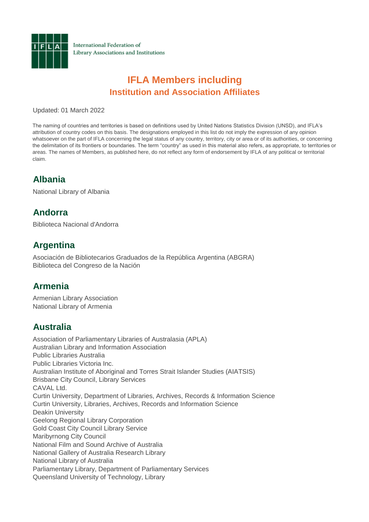

International Federation of Library Associations and Institutions

# **IFLA Members including Institution and Association Affiliates**

Updated: 01 March 2022

The naming of countries and territories is based on definitions used by United Nations Statistics Division (UNSD), and IFLA's attribution of country codes on this basis. The designations employed in this list do not imply the expression of any opinion whatsoever on the part of IFLA concerning the legal status of any country, territory, city or area or of its authorities, or concerning the delimitation of its frontiers or boundaries. The term "country" as used in this material also refers, as appropriate, to territories or areas. The names of Members, as published here, do not reflect any form of endorsement by IFLA of any political or territorial claim.

### **Albania**

National Library of Albania

### **Andorra**

Biblioteca Nacional d'Andorra

### **Argentina**

Asociación de Bibliotecarios Graduados de la República Argentina (ABGRA) Biblioteca del Congreso de la Nación

#### **Armenia**

Armenian Library Association National Library of Armenia

### **Australia**

Association of Parliamentary Libraries of Australasia (APLA) Australian Library and Information Association Public Libraries Australia Public Libraries Victoria Inc. Australian Institute of Aboriginal and Torres Strait Islander Studies (AIATSIS) Brisbane City Council, Library Services CAVAL Ltd. Curtin University, Department of Libraries, Archives, Records & Information Science Curtin University, Libraries, Archives, Records and Information Science Deakin University Geelong Regional Library Corporation Gold Coast City Council Library Service Maribyrnong City Council National Film and Sound Archive of Australia National Gallery of Australia Research Library National Library of Australia Parliamentary Library, Department of Parliamentary Services Queensland University of Technology, Library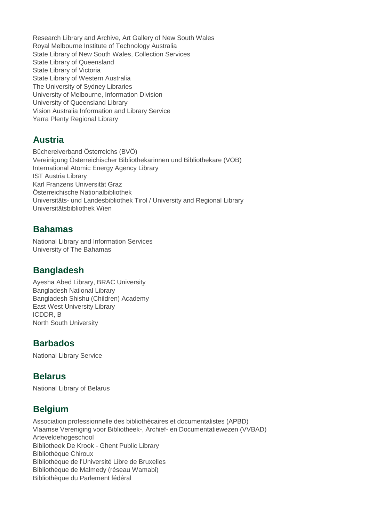Research Library and Archive, Art Gallery of New South Wales Royal Melbourne Institute of Technology Australia State Library of New South Wales, Collection Services State Library of Queensland State Library of Victoria State Library of Western Australia The University of Sydney Libraries University of Melbourne, Information Division University of Queensland Library Vision Australia Information and Library Service Yarra Plenty Regional Library

### **Austria**

Büchereiverband Österreichs (BVÖ) Vereinigung Österreichischer Bibliothekarinnen und Bibliothekare (VÖB) International Atomic Energy Agency Library IST Austria Library Karl Franzens Universität Graz Österreichische Nationalbibliothek Universitäts- und Landesbibliothek Tirol / University and Regional Library Universitätsbibliothek Wien

### **Bahamas**

National Library and Information Services University of The Bahamas

### **Bangladesh**

Ayesha Abed Library, BRAC University Bangladesh National Library Bangladesh Shishu (Children) Academy East West University Library ICDDR, B North South University

### **Barbados**

National Library Service

### **Belarus**

National Library of Belarus

# **Belgium**

Association professionnelle des bibliothécaires et documentalistes (APBD) Vlaamse Vereniging voor Bibliotheek-, Archief- en Documentatiewezen (VVBAD) Arteveldehogeschool Bibliotheek De Krook - Ghent Public Library Bibliothèque Chiroux Bibliothèque de l'Université Libre de Bruxelles Bibliothèque de Malmedy (réseau Wamabi) Bibliothèque du Parlement fédéral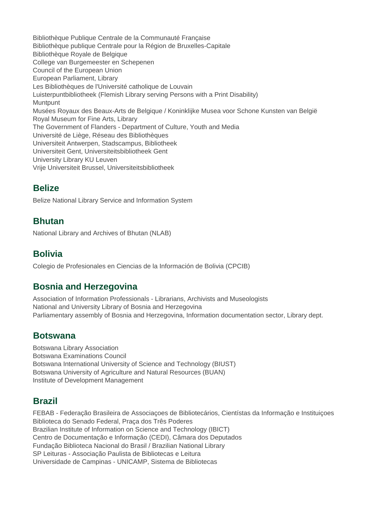Bibliothèque Publique Centrale de la Communauté Française Bibliothèque publique Centrale pour la Région de Bruxelles-Capitale Bibliothèque Royale de Belgique College van Burgemeester en Schepenen Council of the European Union European Parliament, Library Les Bibliothèques de l'Université catholique de Louvain Luisterpuntbibliotheek (Flemish Library serving Persons with a Print Disability) **Muntpunt** Musées Royaux des Beaux-Arts de Belgique / Koninklijke Musea voor Schone Kunsten van België Royal Museum for Fine Arts, Library The Government of Flanders - Department of Culture, Youth and Media Université de Liège, Réseau des Bibliothèques Universiteit Antwerpen, Stadscampus, Bibliotheek Universiteit Gent, Universiteitsbibliotheek Gent University Library KU Leuven Vrije Universiteit Brussel, Universiteitsbibliotheek

## **Belize**

Belize National Library Service and Information System

### **Bhutan**

National Library and Archives of Bhutan (NLAB)

### **Bolivia**

Colegio de Profesionales en Ciencias de la Información de Bolivia (CPCIB)

### **Bosnia and Herzegovina**

Association of Information Professionals - Librarians, Archivists and Museologists National and University Library of Bosnia and Herzegovina Parliamentary assembly of Bosnia and Herzegovina, Information documentation sector, Library dept.

#### **Botswana**

Botswana Library Association Botswana Examinations Council Botswana International University of Science and Technology (BIUST) Botswana University of Agriculture and Natural Resources (BUAN) Institute of Development Management

### **Brazil**

FEBAB - Federação Brasileira de Associaçoes de Bibliotecários, Cientístas da Informação e Instituiçoes Biblioteca do Senado Federal, Praça dos Três Poderes Brazilian Institute of Information on Science and Technology (IBICT) Centro de Documentação e Informação (CEDI), Câmara dos Deputados Fundação Biblioteca Nacional do Brasil / Brazilian National Library SP Leituras - Associação Paulista de Bibliotecas e Leitura Universidade de Campinas - UNICAMP, Sistema de Bibliotecas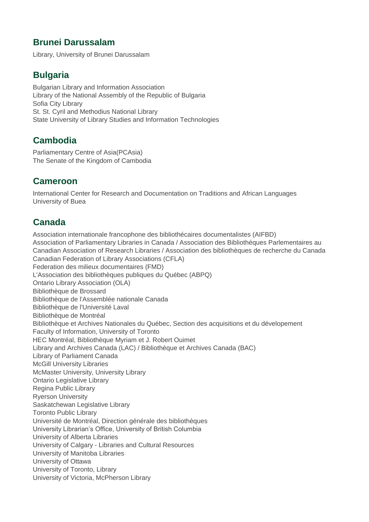### **Brunei Darussalam**

Library, University of Brunei Darussalam

# **Bulgaria**

Bulgarian Library and Information Association Library of the National Assembly of the Republic of Bulgaria Sofia City Library St. St. Cyril and Methodius National Library State University of Library Studies and Information Technologies

## **Cambodia**

Parliamentary Centre of Asia(PCAsia) The Senate of the Kingdom of Cambodia

### **Cameroon**

International Center for Research and Documentation on Traditions and African Languages University of Buea

## **Canada**

Association internationale francophone des bibliothécaires documentalistes (AIFBD) Association of Parliamentary Libraries in Canada / Association des Bibliothéques Parlementaires au Canadian Association of Research Libraries / Association des bibliothèques de recherche du Canada Canadian Federation of Library Associations (CFLA) Federation des milieux documentaires (FMD) L'Association des bibliothèques publiques du Québec (ABPQ) Ontario Library Association (OLA) Bibliothèque de Brossard Bibliothèque de l'Assemblée nationale Canada Bibliothèque de l'Université Laval Bibliothèque de Montréal Bibliothèque et Archives Nationales du Québec, Section des acquisitions et du dévelopement Faculty of Information, University of Toronto HEC Montréal, Bibliothèque Myriam et J. Robert Ouimet Library and Archives Canada (LAC) / Bibliothèque et Archives Canada (BAC) Library of Parliament Canada McGill University Libraries McMaster University, University Library Ontario Legislative Library Regina Public Library Ryerson University Saskatchewan Legislative Library Toronto Public Library Université de Montréal, Direction générale des bibliothèques University Librarian's Office, University of British Columbia University of Alberta Libraries University of Calgary - Libraries and Cultural Resources University of Manitoba Libraries University of Ottawa University of Toronto, Library University of Victoria, McPherson Library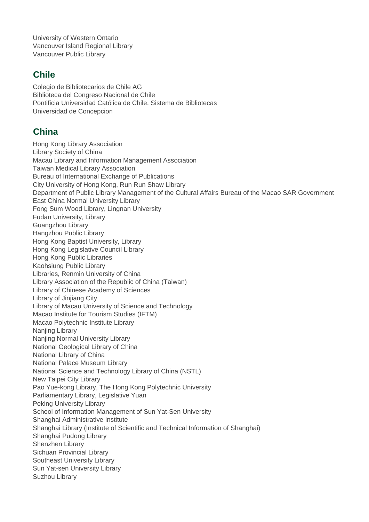University of Western Ontario Vancouver Island Regional Library Vancouver Public Library

## **Chile**

Colegio de Bibliotecarios de Chile AG Biblioteca del Congreso Nacional de Chile Pontificia Universidad Católica de Chile, Sistema de Bibliotecas Universidad de Concepcion

### **China**

Hong Kong Library Association Library Society of China Macau Library and Information Management Association Taiwan Medical Library Association Bureau of International Exchange of Publications City University of Hong Kong, Run Run Shaw Library Department of Public Library Management of the Cultural Affairs Bureau of the Macao SAR Government East China Normal University Library Fong Sum Wood Library, Lingnan University Fudan University, Library Guangzhou Library Hangzhou Public Library Hong Kong Baptist University, Library Hong Kong Legislative Council Library Hong Kong Public Libraries Kaohsiung Public Library Libraries, Renmin University of China Library Association of the Republic of China (Taiwan) Library of Chinese Academy of Sciences Library of Jinjiang City Library of Macau University of Science and Technology Macao Institute for Tourism Studies (IFTM) Macao Polytechnic Institute Library Naniing Library Nanjing Normal University Library National Geological Library of China National Library of China National Palace Museum Library National Science and Technology Library of China (NSTL) New Taipei City Library Pao Yue-kong Library, The Hong Kong Polytechnic University Parliamentary Library, Legislative Yuan Peking University Library School of Information Management of Sun Yat-Sen University Shanghai Administrative Institute Shanghai Library (Institute of Scientific and Technical Information of Shanghai) Shanghai Pudong Library Shenzhen Library Sichuan Provincial Library Southeast University Library Sun Yat-sen University Library Suzhou Library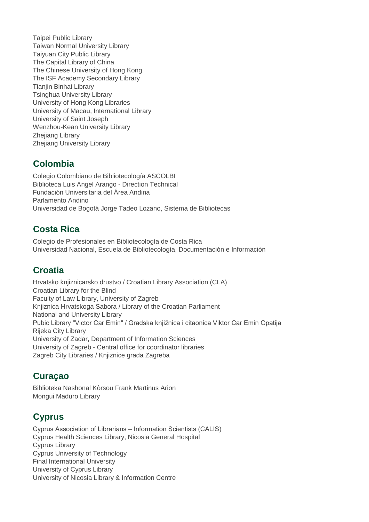Taipei Public Library Taiwan Normal University Library Taiyuan City Public Library The Capital Library of China The Chinese University of Hong Kong The ISF Academy Secondary Library Tianjin Binhai Library Tsinghua University Library University of Hong Kong Libraries University of Macau, International Library University of Saint Joseph Wenzhou-Kean University Library Zhejiang Library Zhejiang University Library

# **Colombia**

Colegio Colombiano de Bibliotecología ASCOLBI Biblioteca Luis Angel Arango - Direction Technical Fundación Universitaria del Área Andina Parlamento Andino Universidad de Bogotá Jorge Tadeo Lozano, Sistema de Bibliotecas

# **Costa Rica**

Colegio de Profesionales en Bibliotecología de Costa Rica Universidad Nacional, Escuela de Bibliotecología, Documentación e Información

# **Croatia**

Hrvatsko knjiznicarsko drustvo / Croatian Library Association (CLA) Croatian Library for the Blind Faculty of Law Library, University of Zagreb Knjiznica Hrvatskoga Sabora / Library of the Croatian Parliament National and University Library Pubic Library "Victor Car Emin" / Gradska knjižnica i citaonica Viktor Car Emin Opatija Rijeka City Library University of Zadar, Department of Information Sciences University of Zagreb - Central office for coordinator libraries Zagreb City Libraries / Knjiznice grada Zagreba

# **Curaçao**

Biblioteka Nashonal Kòrsou Frank Martinus Arion Mongui Maduro Library

# **Cyprus**

Cyprus Association of Librarians – Information Scientists (CALIS) Cyprus Health Sciences Library, Nicosia General Hospital Cyprus Library Cyprus University of Technology Final International University University of Cyprus Library University of Nicosia Library & Information Centre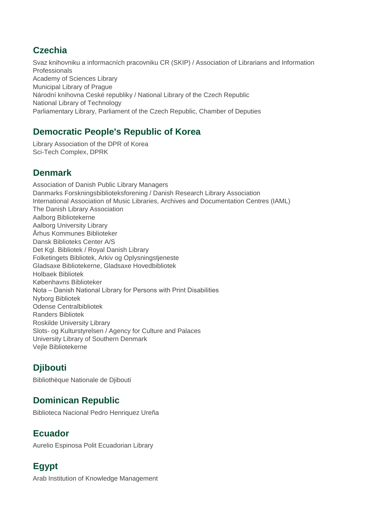## **Czechia**

Svaz knihovniku a informacních pracovniku CR (SKIP) / Association of Librarians and Information Professionals Academy of Sciences Library Municipal Library of Prague Národní knihovna Ceské republiky / National Library of the Czech Republic National Library of Technology Parliamentary Library, Parliament of the Czech Republic, Chamber of Deputies

# **Democratic People's Republic of Korea**

Library Association of the DPR of Korea Sci-Tech Complex, DPRK

## **Denmark**

Association of Danish Public Library Managers Danmarks Forskningsbiblioteksforening / Danish Research Library Association International Association of Music Libraries, Archives and Documentation Centres (IAML) The Danish Library Association Aalborg Bibliotekerne Aalborg University Library Århus Kommunes Biblioteker Dansk Biblioteks Center A/S Det Kgl. Bibliotek / Royal Danish Library Folketingets Bibliotek, Arkiv og Oplysningstjeneste Gladsaxe Bibliotekerne, Gladsaxe Hovedbibliotek Holbaek Bibliotek Københavns Biblioteker Nota – Danish National Library for Persons with Print Disabilities Nyborg Bibliotek Odense Centralbibliotek Randers Bibliotek Roskilde University Library Slots- og Kulturstyrelsen / Agency for Culture and Palaces University Library of Southern Denmark Vejle Bibliotekerne

# **Djibouti**

Bibliothèque Nationale de Djibouti

# **Dominican Republic**

Biblioteca Nacional Pedro Henriquez Ureña

### **Ecuador**

Aurelio Espinosa Polit Ecuadorian Library

# **Egypt**

Arab Institution of Knowledge Management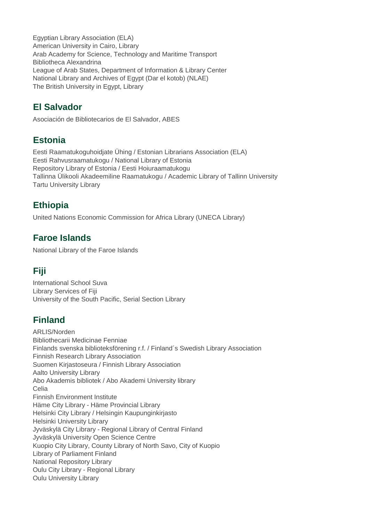Egyptian Library Association (ELA) American University in Cairo, Library Arab Academy for Science, Technology and Maritime Transport Bibliotheca Alexandrina League of Arab States, Department of Information & Library Center National Library and Archives of Egypt (Dar el kotob) (NLAE) The British University in Egypt, Library

### **El Salvador**

Asociación de Bibliotecarios de El Salvador, ABES

## **Estonia**

Eesti Raamatukoguhoidjate Ühing / Estonian Librarians Association (ELA) Eesti Rahvusraamatukogu / National Library of Estonia Repository Library of Estonia / Eesti Hoiuraamatukogu Tallinna Ülikooli Akadeemiline Raamatukogu / Academic Library of Tallinn University Tartu University Library

# **Ethiopia**

United Nations Economic Commission for Africa Library (UNECA Library)

# **Faroe Islands**

National Library of the Faroe Islands

# **Fiji**

International School Suva Library Services of Fiji University of the South Pacific, Serial Section Library

# **Finland**

ARLIS/Norden Bibliothecarii Medicinae Fenniae Finlands svenska biblioteksförening r.f. / Finland´s Swedish Library Association Finnish Research Library Association Suomen Kirjastoseura / Finnish Library Association Aalto University Library Abo Akademis bibliotek / Abo Akademi University library Celia Finnish Environment Institute Häme City Library - Häme Provincial Library Helsinki City Library / Helsingin Kaupunginkirjasto Helsinki University Library Jyväskylä City Library - Regional Library of Central Finland Jyväskylä University Open Science Centre Kuopio City Library, County Library of North Savo, City of Kuopio Library of Parliament Finland National Repository Library Oulu City Library - Regional Library Oulu University Library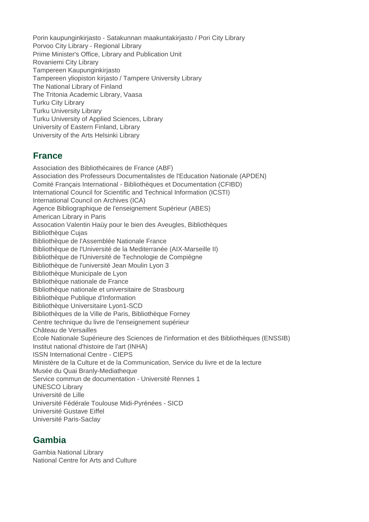Porin kaupunginkirjasto - Satakunnan maakuntakirjasto / Pori City Library Porvoo City Library - Regional Library Prime Minister's Office, Library and Publication Unit Rovaniemi City Library Tampereen Kaupunginkirjasto Tampereen yliopiston kirjasto / Tampere University Library The National Library of Finland The Tritonia Academic Library, Vaasa Turku City Library Turku University Library Turku University of Applied Sciences, Library University of Eastern Finland, Library University of the Arts Helsinki Library

### **France**

Association des Bibliothécaires de France (ABF) Association des Professeurs Documentalistes de l'Education Nationale (APDEN) Comité Français International - Bibliothèques et Documentation (CFIBD) International Council for Scientific and Technical Information (ICSTI) International Council on Archives (ICA) Agence Bibliographique de l'enseignement Supérieur (ABES) American Library in Paris Assocation Valentin Haüy pour le bien des Aveugles, Bibliothèques Bibliothèque Cujas Bibliothèque de l'Assemblée Nationale France Bibliothèque de l'Université de la Mediterranée (AIX-Marseille II) Bibliothèque de l'Université de Technologie de Compiègne Bibliothèque de l'université Jean Moulin Lyon 3 Bibliothèque Municipale de Lyon Bibliothèque nationale de France Bibliothèque nationale et universitaire de Strasbourg Bibliothèque Publique d'Information Bibliothèque Universitaire Lyon1-SCD Bibliothèques de la Ville de Paris, Bibliothèque Forney Centre technique du livre de l'enseignement supérieur Château de Versailles Ecole Nationale Supérieure des Sciences de l'information et des Bibliothèques (ENSSIB) Institut national d'histoire de l'art (INHA) ISSN International Centre - CIEPS Ministère de la Culture et de la Communication, Service du livre et de la lecture Musée du Quai Branly-Mediatheque Service commun de documentation - Université Rennes 1 UNESCO Library Université de Lille Université Fédérale Toulouse Midi-Pyrénées - SICD Université Gustave Eiffel Université Paris-Saclay

### **Gambia**

Gambia National Library National Centre for Arts and Culture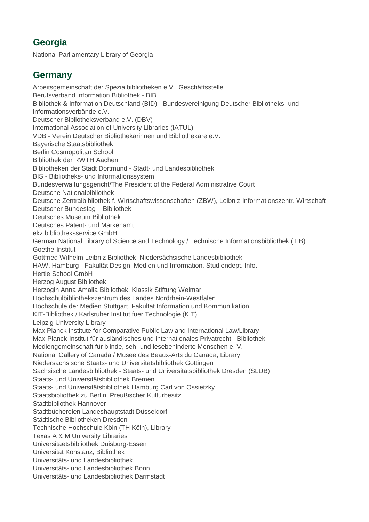# **Georgia**

National Parliamentary Library of Georgia

# **Germany**

Arbeitsgemeinschaft der Spezialbibliotheken e.V., Geschäftsstelle Berufsverband Information Bibliothek - BIB Bibliothek & Information Deutschland (BID) - Bundesvereinigung Deutscher Bibliotheks- und Informationsverbände e.V. Deutscher Bibliotheksverband e.V. (DBV) International Association of University Libraries (IATUL) VDB - Verein Deutscher Bibliothekarinnen und Bibliothekare e.V. Bayerische Staatsbibliothek Berlin Cosmopolitan School Bibliothek der RWTH Aachen Bibliotheken der Stadt Dortmund - Stadt- und Landesbibliothek BIS - Bibliotheks- und Informationssystem Bundesverwaltungsgericht/The President of the Federal Administrative Court Deutsche Nationalbibliothek Deutsche Zentralbibliothek f. Wirtschaftswissenschaften (ZBW), Leibniz-Informationszentr. Wirtschaft Deutscher Bundestag – Bibliothek Deutsches Museum Bibliothek Deutsches Patent- und Markenamt ekz.bibliotheksservice GmbH German National Library of Science and Technology / Technische Informationsbibliothek (TIB) Goethe-Institut Gottfried Wilhelm Leibniz Bibliothek, Niedersächsische Landesbibliothek HAW, Hamburg - Fakultät Design, Medien und Information, Studiendept. Info. Hertie School GmbH Herzog August Bibliothek Herzogin Anna Amalia Bibliothek, Klassik Stiftung Weimar Hochschulbibliothekszentrum des Landes Nordrhein-Westfalen Hochschule der Medien Stuttgart, Fakultät Information und Kommunikation KIT-Bibliothek / Karlsruher Institut fuer Technologie (KIT) Leipzig University Library Max Planck Institute for Comparative Public Law and International Law/Library Max-Planck-Institut für ausländisches und internationales Privatrecht - Bibliothek Mediengemeinschaft für blinde, seh- und lesebehinderte Menschen e. V. National Gallery of Canada / Musee des Beaux-Arts du Canada, Library Niedersächsische Staats- und Universitätsbibliothek Göttingen Sächsische Landesbibliothek - Staats- und Universitätsbibliothek Dresden (SLUB) Staats- und Universitätsbibliothek Bremen Staats- und Universitätsbibliothek Hamburg Carl von Ossietzky Staatsbibliothek zu Berlin, Preußischer Kulturbesitz Stadtbibliothek Hannover Stadtbüchereien Landeshauptstadt Düsseldorf Städtische Bibliotheken Dresden Technische Hochschule Köln (TH Köln), Library Texas A & M University Libraries Universitaetsbibliothek Duisburg-Essen Universität Konstanz, Bibliothek Universitäts- und Landesbibliothek Universitäts- und Landesbibliothek Bonn Universitäts- und Landesbibliothek Darmstadt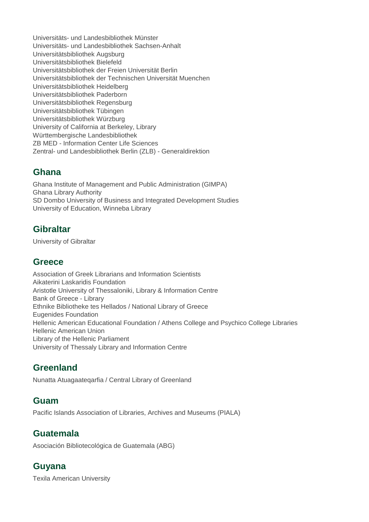Universitäts- und Landesbibliothek Münster Universitäts- und Landesbibliothek Sachsen-Anhalt Universitätsbibliothek Augsburg Universitätsbibliothek Bielefeld Universitätsbibliothek der Freien Universität Berlin Universitätsbibliothek der Technischen Universität Muenchen Universitätsbibliothek Heidelberg Universitätsbibliothek Paderborn Universitätsbibliothek Regensburg Universitätsbibliothek Tübingen Universitätsbibliothek Würzburg University of California at Berkeley, Library Württembergische Landesbibliothek ZB MED - Information Center Life Sciences Zentral- und Landesbibliothek Berlin (ZLB) - Generaldirektion

### **Ghana**

Ghana Institute of Management and Public Administration (GIMPA) Ghana Library Authority SD Dombo University of Business and Integrated Development Studies University of Education, Winneba Library

### **Gibraltar**

University of Gibraltar

#### **Greece**

Association of Greek Librarians and Information Scientists Aikaterini Laskaridis Foundation Aristotle University of Thessaloniki, Library & Information Centre Bank of Greece - Library Ethnike Bibliotheke tes Hellados / National Library of Greece Eugenides Foundation Hellenic American Educational Foundation / Athens College and Psychico College Libraries Hellenic American Union Library of the Hellenic Parliament University of Thessaly Library and Information Centre

### **Greenland**

Nunatta Atuagaateqarfia / Central Library of Greenland

### **Guam**

Pacific Islands Association of Libraries, Archives and Museums (PIALA)

### **Guatemala**

Asociación Bibliotecológica de Guatemala (ABG)

### **Guyana**

Texila American University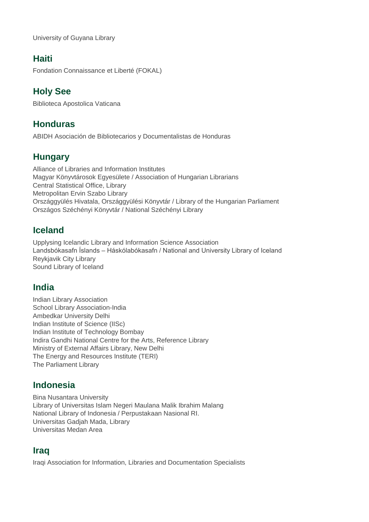University of Guyana Library

### **Haiti**

Fondation Connaissance et Liberté (FOKAL)

## **Holy See**

Biblioteca Apostolica Vaticana

### **Honduras**

ABIDH Asociación de Bibliotecarios y Documentalistas de Honduras

### **Hungary**

Alliance of Libraries and Information Institutes Magyar Könyvtárosok Egyesülete / Association of Hungarian Librarians Central Statistical Office, Library Metropolitan Ervin Szabo Library Országgyülés Hivatala, Országgyülési Könyvtár / Library of the Hungarian Parliament Országos Széchényi Könyvtár / National Széchényi Library

## **Iceland**

Upplysing Icelandic Library and Information Science Association Landsbókasafn Íslands – Háskólabókasafn / National and University Library of Iceland Reykjavik City Library Sound Library of Iceland

### **India**

Indian Library Association School Library Association-India Ambedkar University Delhi Indian Institute of Science (IISc) Indian Institute of Technology Bombay Indira Gandhi National Centre for the Arts, Reference Library Ministry of External Affairs Library, New Delhi The Energy and Resources Institute (TERI) The Parliament Library

### **Indonesia**

Bina Nusantara University Library of Universitas Islam Negeri Maulana Malik Ibrahim Malang National Library of Indonesia / Perpustakaan Nasional RI. Universitas Gadjah Mada, Library Universitas Medan Area

### **Iraq**

Iraqi Association for Information, Libraries and Documentation Specialists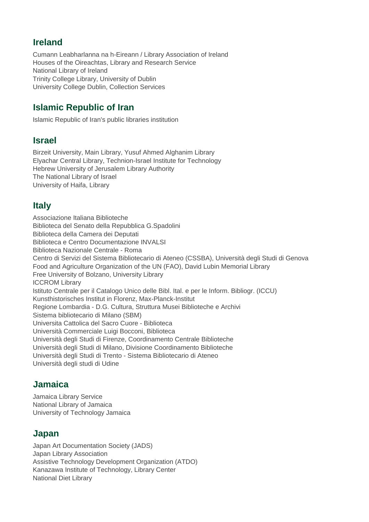### **Ireland**

Cumann Leabharlanna na h-Eireann / Library Association of Ireland Houses of the Oireachtas, Library and Research Service National Library of Ireland Trinity College Library, University of Dublin University College Dublin, Collection Services

## **Islamic Republic of Iran**

Islamic Republic of Iran's public libraries institution

#### **Israel**

Birzeit University, Main Library, Yusuf Ahmed Alghanim Library Elyachar Central Library, Technion-Israel Institute for Technology Hebrew University of Jerusalem Library Authority The National Library of Israel University of Haifa, Library

### **Italy**

Associazione Italiana Biblioteche Biblioteca del Senato della Repubblica G.Spadolini Biblioteca della Camera dei Deputati Biblioteca e Centro Documentazione INVALSI Biblioteca Nazionale Centrale - Roma Centro di Servizi del Sistema Bibliotecario di Ateneo (CSSBA), Università degli Studi di Genova Food and Agriculture Organization of the UN (FAO), David Lubin Memorial Library Free University of Bolzano, University Library ICCROM Library Istituto Centrale per il Catalogo Unico delle Bibl. Ital. e per le Inform. Bibliogr. (ICCU) Kunsthistorisches Institut in Florenz, Max-Planck-Institut Regione Lombardia - D.G. Cultura, Struttura Musei Biblioteche e Archivi Sistema bibliotecario di Milano (SBM) Universita Cattolica del Sacro Cuore - Biblioteca Università Commerciale Luigi Bocconi, Biblioteca Università degli Studi di Firenze, Coordinamento Centrale Biblioteche Università degli Studi di Milano, Divisione Coordinamento Biblioteche Università degli Studi di Trento - Sistema Bibliotecario di Ateneo Università degli studi di Udine

#### **Jamaica**

Jamaica Library Service National Library of Jamaica University of Technology Jamaica

#### **Japan**

Japan Art Documentation Society (JADS) Japan Library Association Assistive Technology Development Organization (ATDO) Kanazawa Institute of Technology, Library Center National Diet Library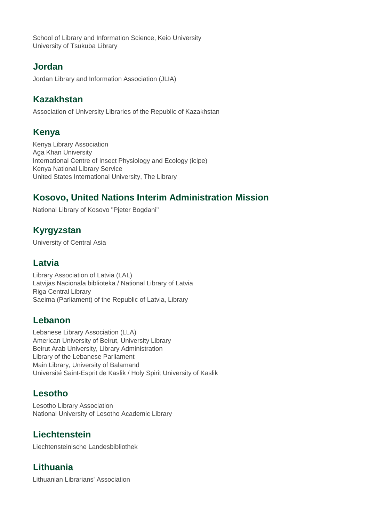School of Library and Information Science, Keio University University of Tsukuba Library

## **Jordan**

Jordan Library and Information Association (JLIA)

# **Kazakhstan**

Association of University Libraries of the Republic of Kazakhstan

# **Kenya**

Kenya Library Association Aga Khan University International Centre of Insect Physiology and Ecology (icipe) Kenya National Library Service United States International University, The Library

# **Kosovo, United Nations Interim Administration Mission**

National Library of Kosovo "Pjeter Bogdani"

# **Kyrgyzstan**

University of Central Asia

### **Latvia**

Library Association of Latvia (LAL) Latvijas Nacionala biblioteka / National Library of Latvia Riga Central Library Saeima (Parliament) of the Republic of Latvia, Library

# **Lebanon**

Lebanese Library Association (LLA) American University of Beirut, University Library Beirut Arab University, Library Administration Library of the Lebanese Parliament Main Library, University of Balamand Université Saint-Esprit de Kaslik / Holy Spirit University of Kaslik

# **Lesotho**

Lesotho Library Association National University of Lesotho Academic Library

# **Liechtenstein**

Liechtensteinische Landesbibliothek

# **Lithuania**

Lithuanian Librarians' Association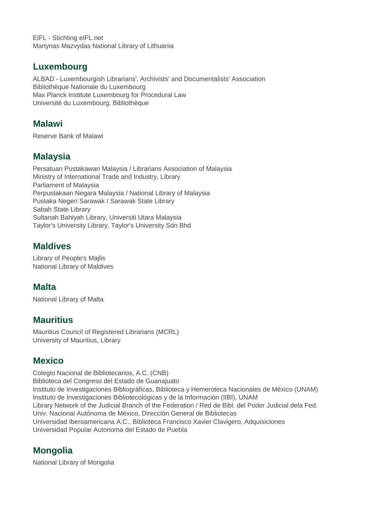EIFL - Stichting eIFL.net Martynas Mazvydas National Library of Lithuania

### **Luxembourg**

ALBAD - Luxembourgish Librarians', Archivists' and Documentalists' Association Bibliothèque Nationale du Luxembourg Max Planck Institute Luxembourg for Procedural Law Université du Luxembourg, Bibliothèque

### **Malawi**

Reserve Bank of Malawi

## **Malaysia**

Persatuan Pustakawan Malaysia / Librarians Association of Malaysia Ministry of International Trade and Industry, Library Parliament of Malaysia Perpustakaan Negara Malaysia / National Library of Malaysia Pustaka Negeri Sarawak / Sarawak State Library Sabah State Library Sultanah Bahiyah Library, Universiti Utara Malaysia Taylor's University Library, Taylor's University Sdn Bhd

# **Maldives**

Library of People's Majlis National Library of Maldives

# **Malta**

National Library of Malta

### **Mauritius**

Mauritius Council of Registered Librarians (MCRL) University of Mauritius, Library

# **Mexico**

Colegio Nacional de Bibliotecarios, A.C. (CNB) Biblioteca del Congreso del Estado de Guanajuato Instituto de Investigaciones Bibliográficas, Biblioteca y Hemeroteca Nacionales de México (UNAM) Instituto de Investigaciones Bibliotecológicas y de la Información (IIBI), UNAM Library Network of the Judicial Branch of the Federation / Red de Bibl. del Poder Judicial dela Fed. Univ. Nacional Autónoma de México, Dirección General de Bibliotecas Universidad Iberoamericana A.C., Biblioteca Francisco Xavier Clavigero, Adquisiciones Universidad Popular Autonoma del Estado de Puebla

# **Mongolia**

National Library of Mongolia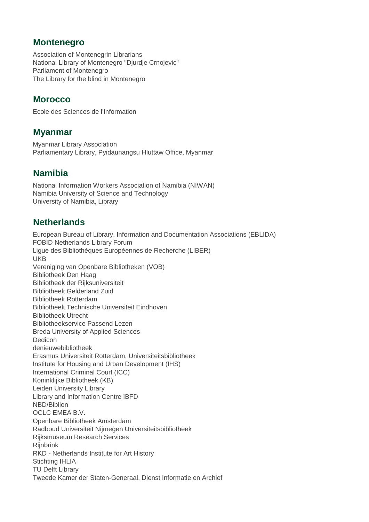### **Montenegro**

Association of Montenegrin Librarians National Library of Montenegro "Djurdje Crnojevic" Parliament of Montenegro The Library for the blind in Montenegro

### **Morocco**

Ecole des Sciences de l'Information

#### **Myanmar**

Myanmar Library Association Parliamentary Library, Pyidaunangsu Hluttaw Office, Myanmar

### **Namibia**

National Information Workers Association of Namibia (NIWAN) Namibia University of Science and Technology University of Namibia, Library

### **Netherlands**

European Bureau of Library, Information and Documentation Associations (EBLIDA) FOBID Netherlands Library Forum Ligue des Bibliothèques Européennes de Recherche (LIBER) UKB Vereniging van Openbare Bibliotheken (VOB) Bibliotheek Den Haag Bibliotheek der Rijksuniversiteit Bibliotheek Gelderland Zuid Bibliotheek Rotterdam Bibliotheek Technische Universiteit Eindhoven Bibliotheek Utrecht Bibliotheekservice Passend Lezen Breda University of Applied Sciences **Dedicon** denieuwebibliotheek Erasmus Universiteit Rotterdam, Universiteitsbibliotheek Institute for Housing and Urban Development (IHS) International Criminal Court (ICC) Koninklijke Bibliotheek (KB) Leiden University Library Library and Information Centre IBFD NBD/Biblion OCLC EMEA B.V. Openbare Bibliotheek Amsterdam Radboud Universiteit Nijmegen Universiteitsbibliotheek Rijksmuseum Research Services **Riinbrink** RKD - Netherlands Institute for Art History Stichting IHLIA TU Delft Library Tweede Kamer der Staten-Generaal, Dienst Informatie en Archief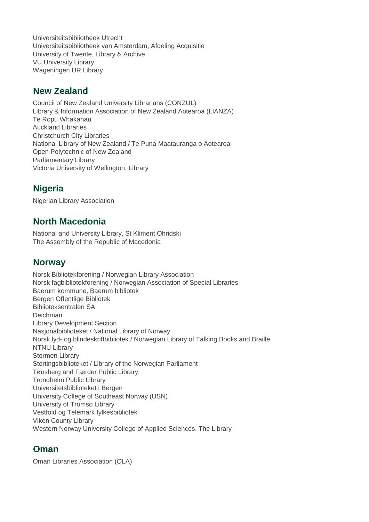Universiteitsbibliotheek Utrecht Universiteitsbibliotheek van Amsterdam, Afdeling Acquisitie University of Twente, Library & Archive VU University Library Wageningen UR Library

#### **New Zealand**

Council of New Zealand University Librarians (CONZUL) Library & Information Association of New Zealand Aotearoa (LIANZA) Te Ropu Whakahau Auckland Libraries Christchurch City Libraries National Library of New Zealand / Te Puna Maatauranga o Aotearoa Open Polytechnic of New Zealand Parliamentary Library Victoria University of Wellington, Library

## **Nigeria**

Nigerian Library Association

### **North Macedonia**

National and University Library, St Kliment Ohridski The Assembly of the Republic of Macedonia

#### **Norway**

Norsk Bibliotekforening / Norwegian Library Association Norsk fagbibliotekforening / Norwegian Association of Special Libraries Baerum kommune, Baerum bibliotek Bergen Offentlige Bibliotek Biblioteksentralen SA Deichman Library Development Section Nasjonalbiblioteket / National Library of Norway Norsk lyd- og blindeskriftbibliotek / Norwegian Library of Talking Books and Braille NTNU Library Stormen Library Stortingsbiblioteket / Library of the Norwegian Parliament Tønsberg and Færder Public Library Trondheim Public Library Universitetsbiblioteket i Bergen University College of Southeast Norway (USN) University of Tromso Library Vestfold og Telemark fylkesbibliotek Viken County Library Western Norway University College of Applied Sciences, The Library

#### **Oman**

Oman Libraries Association (OLA)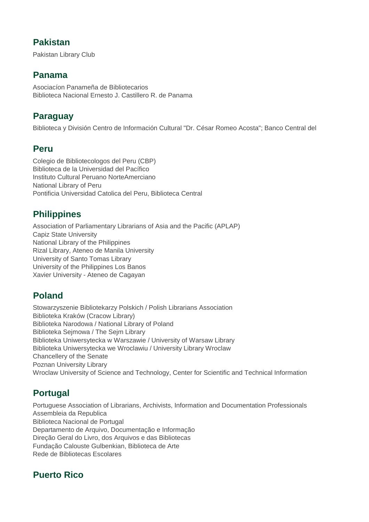### **Pakistan**

Pakistan Library Club

### **Panama**

Asociacíon Panameña de Bibliotecarios Biblioteca Nacional Ernesto J. Castillero R. de Panama

## **Paraguay**

Biblioteca y División Centro de Información Cultural "Dr. César Romeo Acosta"; Banco Central del

### **Peru**

Colegio de Bibliotecologos del Peru (CBP) Biblioteca de la Universidad del Pacífico Instituto Cultural Peruano NorteAmerciano National Library of Peru Pontificia Universidad Catolica del Peru, Biblioteca Central

## **Philippines**

Association of Parliamentary Librarians of Asia and the Pacific (APLAP) Capiz State University National Library of the Philippines Rizal Library, Ateneo de Manila University University of Santo Tomas Library University of the Philippines Los Banos Xavier University - Ateneo de Cagayan

# **Poland**

Stowarzyszenie Bibliotekarzy Polskich / Polish Librarians Association Biblioteka Kraków (Cracow Library) Biblioteka Narodowa / National Library of Poland Biblioteka Sejmowa / The Sejm Library Biblioteka Uniwersytecka w Warszawie / University of Warsaw Library Biblioteka Uniwersytecka we Wroclawiu / University Library Wroclaw Chancellery of the Senate Poznan University Library Wroclaw University of Science and Technology, Center for Scientific and Technical Information

# **Portugal**

Portuguese Association of Librarians, Archivists, Information and Documentation Professionals Assembleia da Republica Biblioteca Nacional de Portugal Departamento de Arquivo, Documentação e Informação Direção Geral do Livro, dos Arquivos e das Bibliotecas Fundação Calouste Gulbenkian, Biblioteca de Arte Rede de Bibliotecas Escolares

# **Puerto Rico**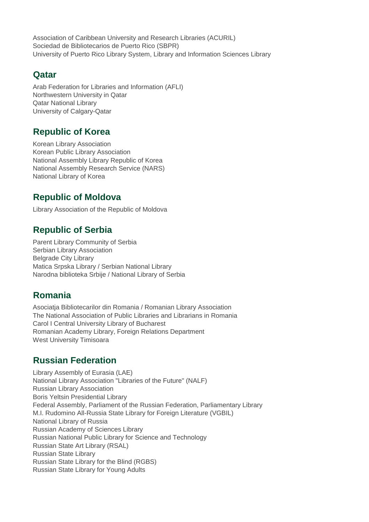Association of Caribbean University and Research Libraries (ACURIL) Sociedad de Bibliotecarios de Puerto Rico (SBPR) University of Puerto Rico Library System, Library and Information Sciences Library

### **Qatar**

Arab Federation for Libraries and Information (AFLI) Northwestern University in Qatar Qatar National Library University of Calgary-Qatar

### **Republic of Korea**

Korean Library Association Korean Public Library Association National Assembly Library Republic of Korea National Assembly Research Service (NARS) National Library of Korea

## **Republic of Moldova**

Library Association of the Republic of Moldova

# **Republic of Serbia**

Parent Library Community of Serbia Serbian Library Association Belgrade City Library Matica Srpska Library / Serbian National Library Narodna biblioteka Srbije / National Library of Serbia

# **Romania**

Asociatja Bibliotecarilor din Romania / Romanian Library Association The National Association of Public Libraries and Librarians in Romania Carol I Central University Library of Bucharest Romanian Academy Library, Foreign Relations Department West University Timisoara

# **Russian Federation**

Library Assembly of Eurasia (LAE) National Library Association "Libraries of the Future" (NALF) Russian Library Association Boris Yeltsin Presidential Library Federal Assembly, Parliament of the Russian Federation, Parliamentary Library M.I. Rudomino All-Russia State Library for Foreign Literature (VGBIL) National Library of Russia Russian Academy of Sciences Library Russian National Public Library for Science and Technology Russian State Art Library (RSAL) Russian State Library Russian State Library for the Blind (RGBS) Russian State Library for Young Adults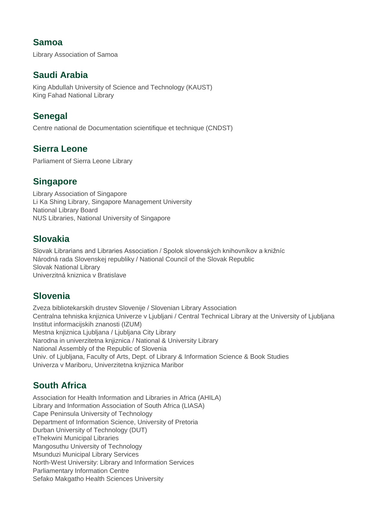### **Samoa**

Library Association of Samoa

### **Saudi Arabia**

King Abdullah University of Science and Technology (KAUST) King Fahad National Library

### **Senegal**

Centre national de Documentation scientifique et technique (CNDST)

### **Sierra Leone**

Parliament of Sierra Leone Library

### **Singapore**

Library Association of Singapore Li Ka Shing Library, Singapore Management University National Library Board NUS Libraries, National University of Singapore

## **Slovakia**

Slovak Librarians and Libraries Association / Spolok slovenských knihovníkov a knižníc Národná rada Slovenskej republiky / National Council of the Slovak Republic Slovak National Library Univerzitná kniznica v Bratislave

# **Slovenia**

Zveza bibliotekarskih drustev Slovenije / Slovenian Library Association Centralna tehniska knjiznica Univerze v Ljubljani / Central Technical Library at the University of Ljubljana Institut informacijskih znanosti (IZUM) Mestna knjiznica Ljubljana / Ljubljana City Library Narodna in univerzitetna knjiznica / National & University Library National Assembly of the Republic of Slovenia Univ. of Ljubljana, Faculty of Arts, Dept. of Library & Information Science & Book Studies Univerza v Mariboru, Univerzitetna knjiznica Maribor

# **South Africa**

Association for Health Information and Libraries in Africa (AHILA) Library and Information Association of South Africa (LIASA) Cape Peninsula University of Technology Department of Information Science, University of Pretoria Durban University of Technology (DUT) eThekwini Municipal Libraries Mangosuthu University of Technology Msunduzi Municipal Library Services North-West University: Library and Information Services Parliamentary Information Centre Sefako Makgatho Health Sciences University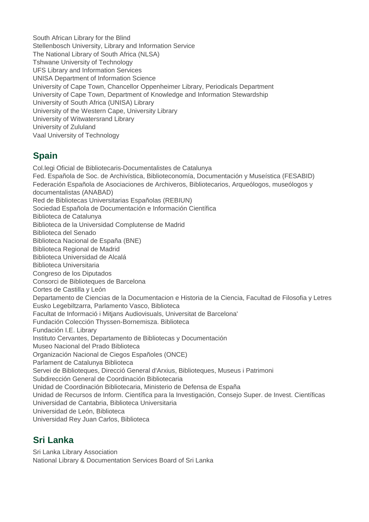South African Library for the Blind Stellenbosch University, Library and Information Service The National Library of South Africa (NLSA) Tshwane University of Technology UFS Library and Information Services UNISA Department of Information Science University of Cape Town, Chancellor Oppenheimer Library, Periodicals Department University of Cape Town, Department of Knowledge and Information Stewardship University of South Africa (UNISA) Library University of the Western Cape, University Library University of Witwatersrand Library University of Zululand Vaal University of Technology

# **Spain**

Col.legi Oficial de Bibliotecaris-Documentalistes de Catalunya Fed. Española de Soc. de Archivística, Biblioteconomía, Documentación y Museística (FESABID) Federación Española de Asociaciones de Archiveros, Bibliotecarios, Arqueólogos, museólogos y documentalistas (ANABAD) Red de Bibliotecas Universitarias Españolas (REBIUN) Sociedad Española de Documentación e Información Científica Biblioteca de Catalunya Biblioteca de la Universidad Complutense de Madrid Biblioteca del Senado Biblioteca Nacional de España (BNE) Biblioteca Regional de Madrid Biblioteca Universidad de Alcalá Biblioteca Universitaria Congreso de los Diputados Consorci de Biblioteques de Barcelona Cortes de Castilla y León Departamento de Ciencias de la Documentacion e Historia de la Ciencia, Facultad de Filosofia y Letres Eusko Legebiltzarra, Parlamento Vasco, Biblioteca Facultat de Informació i Mitjans Audiovisuals, Universitat de Barcelona' Fundación Colección Thyssen-Bornemisza. Biblioteca Fundación I.E. Library Instituto Cervantes, Departamento de Bibliotecas y Documentación Museo Nacional del Prado Biblioteca Organización Nacional de Ciegos Españoles (ONCE) Parlament de Catalunya Biblioteca Servei de Biblioteques, Direcció General d'Arxius, Biblioteques, Museus i Patrimoni Subdirección General de Coordinación Bibliotecaria Unidad de Coordinación Bibliotecaria, Ministerio de Defensa de España Unidad de Recursos de Inform. Científica para la Investigación, Consejo Super. de Invest. Científicas Universidad de Cantabria, Biblioteca Universitaria Universidad de León, Biblioteca Universidad Rey Juan Carlos, Biblioteca

# **Sri Lanka**

Sri Lanka Library Association National Library & Documentation Services Board of Sri Lanka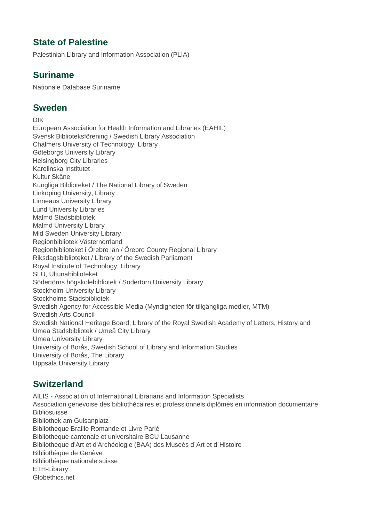### **State of Palestine**

Palestinian Library and Information Association (PLIA)

### **Suriname**

Nationale Database Suriname

#### **Sweden**

DIK European Association for Health Information and Libraries (EAHIL) Svensk Biblioteksförening / Swedish Library Association Chalmers University of Technology, Library Göteborgs University Library Helsingborg City Libraries Karolinska Institutet Kultur Skåne Kungliga Biblioteket / The National Library of Sweden Linköping University, Library Linneaus University Library Lund University Libraries Malmö Stadsbibliotek Malmö University Library Mid Sweden University Library Regionbibliotek Västernorrland Regionbiblioteket i Örebro län / Örebro County Regional Library Riksdagsbiblioteket / Library of the Swedish Parliament Royal Institute of Technology, Library SLU, Ultunabiblioteket Södertörns högskolebibliotek / Södertörn University Library Stockholm University Library Stockholms Stadsbibliotek Swedish Agency for Accessible Media (Myndigheten för tillgängliga medier, MTM) Swedish Arts Council Swedish National Heritage Board, Library of the Royal Swedish Academy of Letters, History and Umeå Stadsbibliotek / Umeå City Library Umeå University Library University of Borås, Swedish School of Library and Information Studies University of Borås, The Library Uppsala University Library

### **Switzerland**

AILIS - Association of International Librarians and Information Specialists Association genevoise des bibliothécaires et professionnels diplômés en information documentaire **Bibliosuisse** Bibliothek am Guisanplatz Bibliothèque Braille Romande et Livre Parlé Bibliothèque cantonale et universitaire BCU Lausanne Bibliothèque d'Art et d'Archéologie (BAA) des Museés d´Art et d´Histoire Bibliothèque de Genève Bibliothèque nationale suisse ETH-Library Globethics.net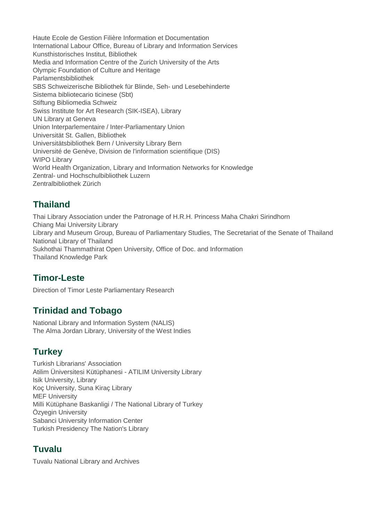Haute Ecole de Gestion Filière Information et Documentation International Labour Office, Bureau of Library and Information Services Kunsthistorisches Institut, Bibliothek Media and Information Centre of the Zurich University of the Arts Olympic Foundation of Culture and Heritage Parlamentsbibliothek SBS Schweizerische Bibliothek für Blinde, Seh- und Lesebehinderte Sistema bibliotecario ticinese (Sbt) Stiftung Bibliomedia Schweiz Swiss Institute for Art Research (SIK-ISEA), Library UN Library at Geneva Union Interparlementaire / Inter-Parliamentary Union Universität St. Gallen, Bibliothek Universitätsbibliothek Bern / University Library Bern Université de Genève, Division de l'information scientifique (DIS) WIPO Library World Health Organization, Library and Information Networks for Knowledge Zentral- und Hochschulbibliothek Luzern Zentralbibliothek Zürich

## **Thailand**

Thai Library Association under the Patronage of H.R.H. Princess Maha Chakri Sirindhorn Chiang Mai University Library Library and Museum Group, Bureau of Parliamentary Studies, The Secretariat of the Senate of Thailand National Library of Thailand Sukhothai Thammathirat Open University, Office of Doc. and Information Thailand Knowledge Park

# **Timor-Leste**

Direction of Timor Leste Parliamentary Research

# **Trinidad and Tobago**

National Library and Information System (NALIS) The Alma Jordan Library, University of the West Indies

# **Turkey**

Turkish Librarians' Association Atilim Üniversitesi Kütüphanesi - ATILIM University Library Isik University, Library Koç University, Suna Kiraç Library MEF University Milli Kütüphane Baskanligi / The National Library of Turkey Özyegin University Sabanci University Information Center Turkish Presidency The Nation's Library

# **Tuvalu**

Tuvalu National Library and Archives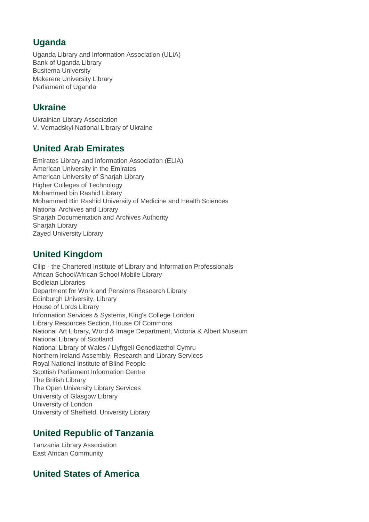# **Uganda**

Uganda Library and Information Association (ULIA) Bank of Uganda Library Busitema University Makerere University Library Parliament of Uganda

# **Ukraine**

Ukrainian Library Association V. Vernadskyi National Library of Ukraine

# **United Arab Emirates**

Emirates Library and Information Association (ELIA) American University in the Emirates American University of Sharjah Library Higher Colleges of Technology Mohammed bin Rashid Library Mohammed Bin Rashid University of Medicine and Health Sciences National Archives and Library Sharjah Documentation and Archives Authority Sharjah Library Zayed University Library

# **United Kingdom**

Cilip - the Chartered Institute of Library and Information Professionals African School/African School Mobile Library Bodleian Libraries Department for Work and Pensions Research Library Edinburgh University, Library House of Lords Library Information Services & Systems, King's College London Library Resources Section, House Of Commons National Art Library, Word & Image Department, Victoria & Albert Museum National Library of Scotland National Library of Wales / Llyfrgell Genedlaethol Cymru Northern Ireland Assembly, Research and Library Services Royal National Institute of Blind People Scottish Parliament Information Centre The British Library The Open University Library Services University of Glasgow Library University of London University of Sheffield, University Library

# **United Republic of Tanzania**

Tanzania Library Association East African Community

# **United States of America**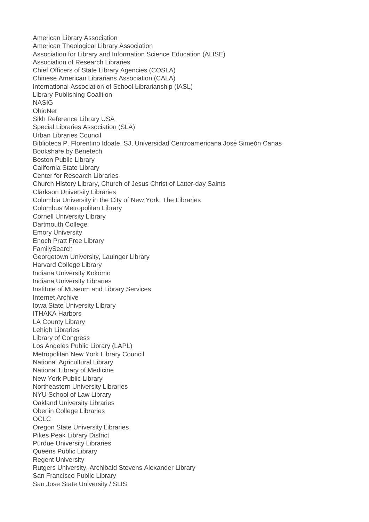American Library Association American Theological Library Association Association for Library and Information Science Education (ALISE) Association of Research Libraries Chief Officers of State Library Agencies (COSLA) Chinese American Librarians Association (CALA) International Association of School Librarianship (IASL) Library Publishing Coalition NASIG **OhioNet** Sikh Reference Library USA Special Libraries Association (SLA) Urban Libraries Council Biblioteca P. Florentino Idoate, SJ, Universidad Centroamericana José Simeón Canas Bookshare by Benetech Boston Public Library California State Library Center for Research Libraries Church History Library, Church of Jesus Christ of Latter-day Saints Clarkson University Libraries Columbia University in the City of New York, The Libraries Columbus Metropolitan Library Cornell University Library Dartmouth College Emory University Enoch Pratt Free Library **FamilySearch** Georgetown University, Lauinger Library Harvard College Library Indiana University Kokomo Indiana University Libraries Institute of Museum and Library Services Internet Archive Iowa State University Library ITHAKA Harbors LA County Library Lehigh Libraries Library of Congress Los Angeles Public Library (LAPL) Metropolitan New York Library Council National Agricultural Library National Library of Medicine New York Public Library Northeastern University Libraries NYU School of Law Library Oakland University Libraries Oberlin College Libraries **OCLC** Oregon State University Libraries Pikes Peak Library District Purdue University Libraries Queens Public Library Regent University Rutgers University, Archibald Stevens Alexander Library San Francisco Public Library San Jose State University / SLIS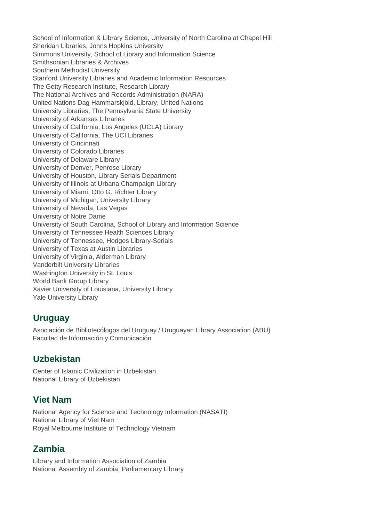School of Information & Library Science, University of North Carolina at Chapel Hill Sheridan Libraries, Johns Hopkins University Simmons University, School of Library and Information Science Smithsonian Libraries & Archives Southern Methodist University Stanford University Libraries and Academic Information Resources The Getty Research Institute, Research Library The National Archives and Records Administration (NARA) United Nations Dag Hammarskjöld, Library, United Nations University Libraries, The Pennsylvania State University University of Arkansas Libraries University of California, Los Angeles (UCLA) Library University of California, The UCI Libraries University of Cincinnati University of Colorado Libraries University of Delaware Library University of Denver, Penrose Library University of Houston, Library Serials Department University of Illinois at Urbana Champaign Library University of Miami, Otto G. Richter Library University of Michigan, University Library University of Nevada, Las Vegas University of Notre Dame University of South Carolina, School of Library and Information Science University of Tennessee Health Sciences Library University of Tennessee, Hodges Library-Serials University of Texas at Austin Libraries University of Virginia, Alderman Library Vanderbilt University Libraries Washington University in St. Louis World Bank Group Library Xavier University of Louisiana, University Library Yale University Library

#### **Uruguay**

Asociación de Bibliotecólogos del Uruguay / Uruguayan Library Association (ABU) Facultad de Información y Comunicación

### **Uzbekistan**

Center of Islamic Civilization in Uzbekistan National Library of Uzbekistan

### **Viet Nam**

National Agency for Science and Technology Information (NASATI) National Library of Viet Nam Royal Melbourne Institute of Technology Vietnam

# **Zambia**

Library and Information Association of Zambia National Assembly of Zambia, Parliamentary Library